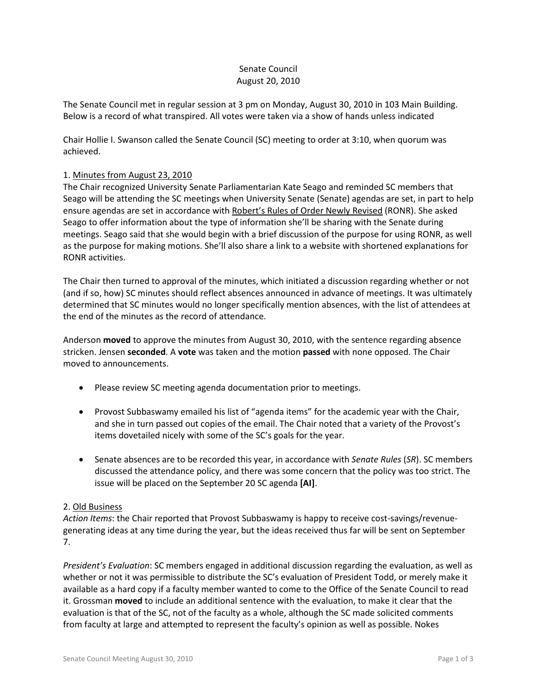## Senate Council August 20, 2010

The Senate Council met in regular session at 3 pm on Monday, August 30, 2010 in 103 Main Building. Below is a record of what transpired. All votes were taken via a show of hands unless indicated

Chair Hollie I. Swanson called the Senate Council (SC) meeting to order at 3:10, when quorum was achieved.

## 1. Minutes from August 23, 2010

The Chair recognized University Senate Parliamentarian Kate Seago and reminded SC members that Seago will be attending the SC meetings when University Senate (Senate) agendas are set, in part to help ensure agendas are set in accordance with Robert's Rules of Order Newly Revised (RONR). She asked Seago to offer information about the type of information she'll be sharing with the Senate during meetings. Seago said that she would begin with a brief discussion of the purpose for using RONR, as well as the purpose for making motions. She'll also share a link to a website with shortened explanations for RONR activities.

The Chair then turned to approval of the minutes, which initiated a discussion regarding whether or not (and if so, how) SC minutes should reflect absences announced in advance of meetings. It was ultimately determined that SC minutes would no longer specifically mention absences, with the list of attendees at the end of the minutes as the record of attendance.

Anderson **moved** to approve the minutes from August 30, 2010, with the sentence regarding absence stricken. Jensen **seconded**. A **vote** was taken and the motion **passed** with none opposed. The Chair moved to announcements.

- Please review SC meeting agenda documentation prior to meetings.
- Provost Subbaswamy emailed his list of "agenda items" for the academic year with the Chair, and she in turn passed out copies of the email. The Chair noted that a variety of the Provost's items dovetailed nicely with some of the SC's goals for the year.
- Senate absences are to be recorded this year, in accordance with *Senate Rules* (*SR*). SC members discussed the attendance policy, and there was some concern that the policy was too strict. The issue will be placed on the September 20 SC agenda **[AI]**.

#### 2. Old Business

*Action Items*: the Chair reported that Provost Subbaswamy is happy to receive cost-savings/revenuegenerating ideas at any time during the year, but the ideas received thus far will be sent on September 7.

*President's Evaluation*: SC members engaged in additional discussion regarding the evaluation, as well as whether or not it was permissible to distribute the SC's evaluation of President Todd, or merely make it available as a hard copy if a faculty member wanted to come to the Office of the Senate Council to read it. Grossman **moved** to include an additional sentence with the evaluation, to make it clear that the evaluation is that of the SC, not of the faculty as a whole, although the SC made solicited comments from faculty at large and attempted to represent the faculty's opinion as well as possible. Nokes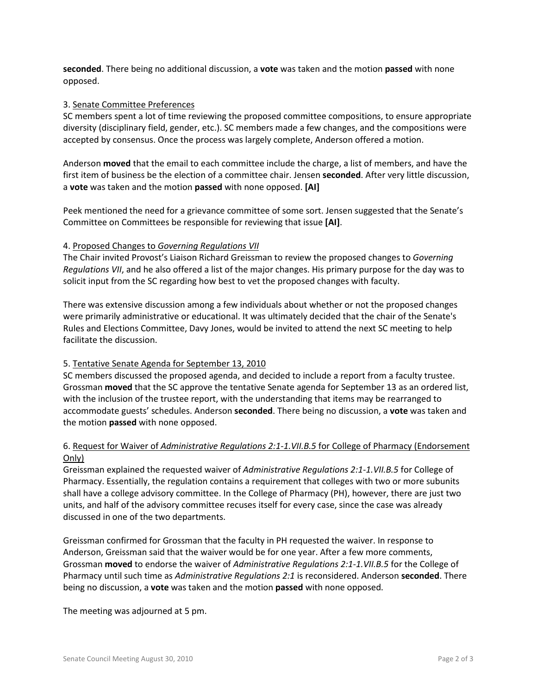**seconded**. There being no additional discussion, a **vote** was taken and the motion **passed** with none opposed.

### 3. Senate Committee Preferences

SC members spent a lot of time reviewing the proposed committee compositions, to ensure appropriate diversity (disciplinary field, gender, etc.). SC members made a few changes, and the compositions were accepted by consensus. Once the process was largely complete, Anderson offered a motion.

Anderson **moved** that the email to each committee include the charge, a list of members, and have the first item of business be the election of a committee chair. Jensen **seconded**. After very little discussion, a **vote** was taken and the motion **passed** with none opposed. **[AI]**

Peek mentioned the need for a grievance committee of some sort. Jensen suggested that the Senate's Committee on Committees be responsible for reviewing that issue **[AI]**.

## 4. Proposed Changes to *Governing Regulations VII*

The Chair invited Provost's Liaison Richard Greissman to review the proposed changes to *Governing Regulations VII*, and he also offered a list of the major changes. His primary purpose for the day was to solicit input from the SC regarding how best to vet the proposed changes with faculty.

There was extensive discussion among a few individuals about whether or not the proposed changes were primarily administrative or educational. It was ultimately decided that the chair of the Senate's Rules and Elections Committee, Davy Jones, would be invited to attend the next SC meeting to help facilitate the discussion.

## 5. Tentative Senate Agenda for September 13, 2010

SC members discussed the proposed agenda, and decided to include a report from a faculty trustee. Grossman **moved** that the SC approve the tentative Senate agenda for September 13 as an ordered list, with the inclusion of the trustee report, with the understanding that items may be rearranged to accommodate guests' schedules. Anderson **seconded**. There being no discussion, a **vote** was taken and the motion **passed** with none opposed.

# 6. Request for Waiver of *Administrative Regulations 2:1-1.VII.B.5* for College of Pharmacy (Endorsement Only)

Greissman explained the requested waiver of *Administrative Regulations 2:1-1.VII.B.5* for College of Pharmacy. Essentially, the regulation contains a requirement that colleges with two or more subunits shall have a college advisory committee. In the College of Pharmacy (PH), however, there are just two units, and half of the advisory committee recuses itself for every case, since the case was already discussed in one of the two departments.

Greissman confirmed for Grossman that the faculty in PH requested the waiver. In response to Anderson, Greissman said that the waiver would be for one year. After a few more comments, Grossman **moved** to endorse the waiver of *Administrative Regulations 2:1-1.VII.B.5* for the College of Pharmacy until such time as *Administrative Regulations 2:1* is reconsidered. Anderson **seconded**. There being no discussion, a **vote** was taken and the motion **passed** with none opposed.

The meeting was adjourned at 5 pm.